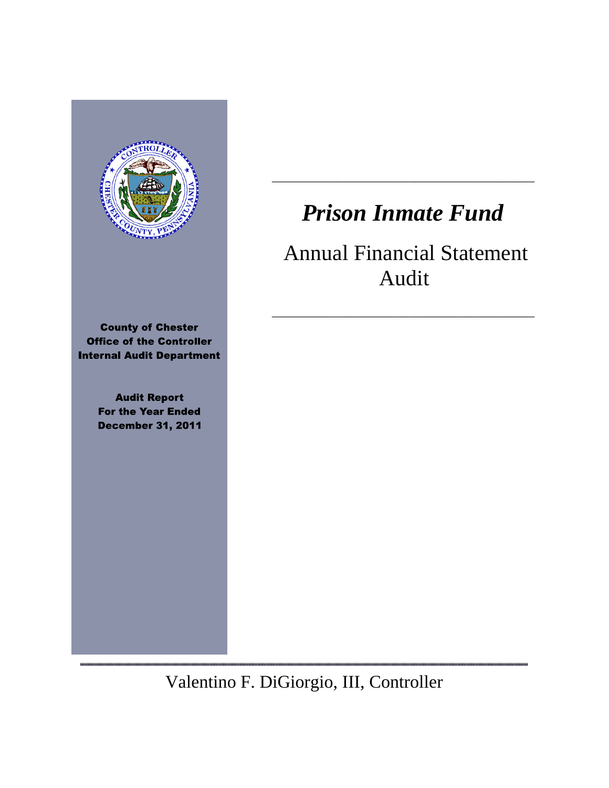

**County of Chester Office of the Controller Internal Audit Department** 

> **Audit Report For the Year Ended December 31, 2011**

,,,,,,,,,,,,,,,,,

# *Prison Inmate Fund*

\_\_\_\_\_\_\_\_\_\_\_\_\_\_\_\_\_\_\_\_\_\_\_\_\_\_\_\_\_\_\_\_\_\_\_\_\_\_\_\_\_\_\_\_

# Annual Financial Statement Audit

\_\_\_\_\_\_\_\_\_\_\_\_\_\_\_\_\_\_\_\_\_\_\_\_\_\_\_\_\_\_\_\_\_\_\_\_\_\_\_\_\_\_\_\_

Valentino F. DiGiorgio, III, Controller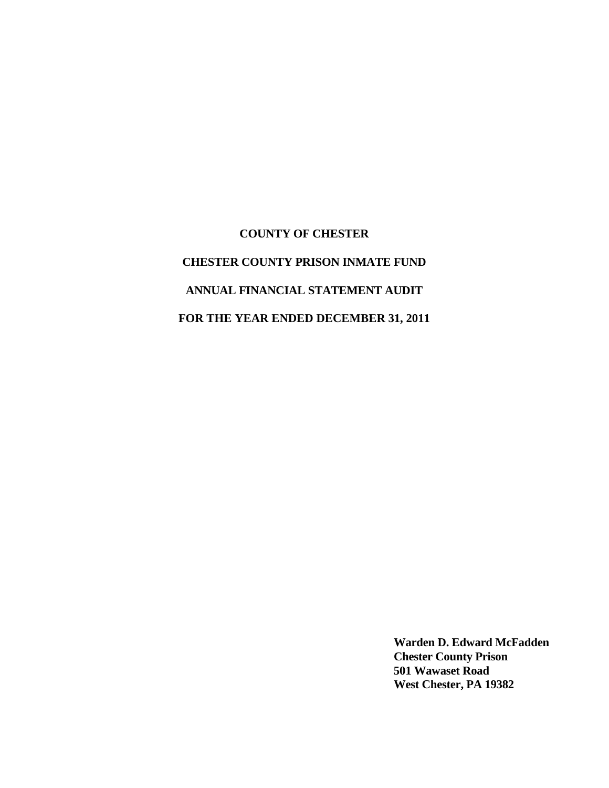# **COUNTY OF CHESTER CHESTER COUNTY PRISON INMATE FUND ANNUAL FINANCIAL STATEMENT AUDIT FOR THE YEAR ENDED DECEMBER 31, 2011**

**Warden D. Edward McFadden Chester County Prison 501 Wawaset Road West Chester, PA 19382**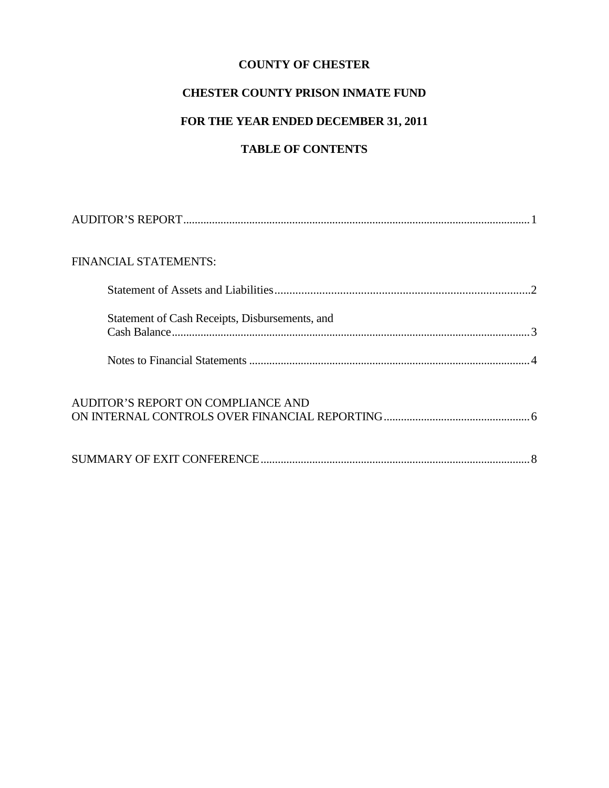# **CHESTER COUNTY PRISON INMATE FUND**

# **FOR THE YEAR ENDED DECEMBER 31, 2011**

# **TABLE OF CONTENTS**

| FINANCIAL STATEMENTS:                          |  |
|------------------------------------------------|--|
|                                                |  |
| Statement of Cash Receipts, Disbursements, and |  |
|                                                |  |
| AUDITOR'S REPORT ON COMPLIANCE AND             |  |
|                                                |  |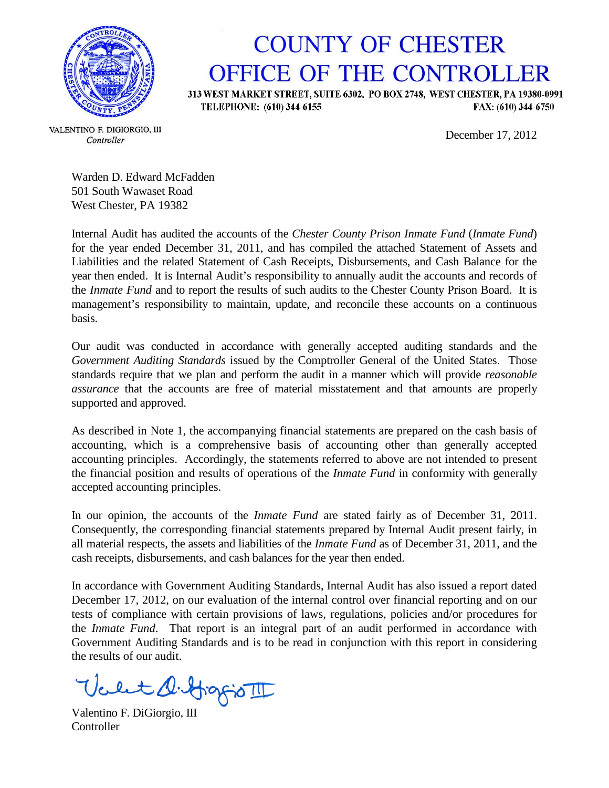

# **COUNTY OF CHESTER** OFFICE OF THE CONTROLLER

313 WEST MARKET STREET, SUITE 6302, PO BOX 2748, WEST CHESTER, PA 19380-0991 FAX: (610) 344-6750 TELEPHONE: (610) 344-6155

December 17, 2012

VALENTINO F. DIGIORGIO, III Controller

Warden D. Edward McFadden 501 South Wawaset Road West Chester, PA 19382

Internal Audit has audited the accounts of the *Chester County Prison Inmate Fund* (*Inmate Fund*) for the year ended December 31, 2011, and has compiled the attached Statement of Assets and Liabilities and the related Statement of Cash Receipts, Disbursements, and Cash Balance for the year then ended. It is Internal Audit's responsibility to annually audit the accounts and records of the *Inmate Fund* and to report the results of such audits to the Chester County Prison Board. It is management's responsibility to maintain, update, and reconcile these accounts on a continuous basis.

Our audit was conducted in accordance with generally accepted auditing standards and the *Government Auditing Standards* issued by the Comptroller General of the United States. Those standards require that we plan and perform the audit in a manner which will provide *reasonable assurance* that the accounts are free of material misstatement and that amounts are properly supported and approved.

As described in Note 1, the accompanying financial statements are prepared on the cash basis of accounting, which is a comprehensive basis of accounting other than generally accepted accounting principles. Accordingly, the statements referred to above are not intended to present the financial position and results of operations of the *Inmate Fund* in conformity with generally accepted accounting principles.

In our opinion, the accounts of the *Inmate Fund* are stated fairly as of December 31, 2011. Consequently, the corresponding financial statements prepared by Internal Audit present fairly, in all material respects, the assets and liabilities of the *Inmate Fund* as of December 31, 2011, and the cash receipts, disbursements, and cash balances for the year then ended.

In accordance with Government Auditing Standards, Internal Audit has also issued a report dated December 17, 2012, on our evaluation of the internal control over financial reporting and on our tests of compliance with certain provisions of laws, regulations, policies and/or procedures for the *Inmate Fund*. That report is an integral part of an audit performed in accordance with Government Auditing Standards and is to be read in conjunction with this report in considering the results of our audit.

bet diffingioTI

Valentino F. DiGiorgio, III **Controller**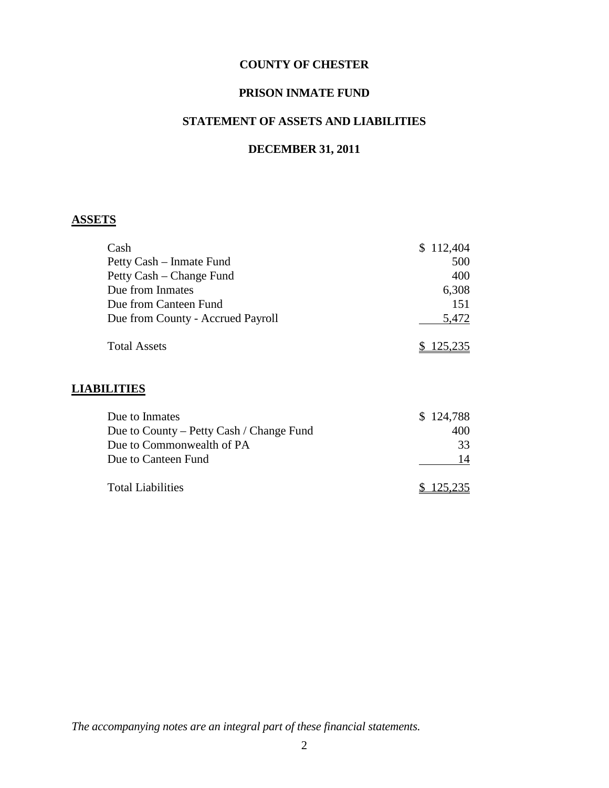#### **PRISON INMATE FUND**

# **STATEMENT OF ASSETS AND LIABILITIES**

# **DECEMBER 31, 2011**

### **ASSETS**

| Cash                              | \$112,404 |
|-----------------------------------|-----------|
| Petty Cash – Inmate Fund          | 500       |
| Petty Cash – Change Fund          | 400       |
| Due from Inmates                  | 6,308     |
| Due from Canteen Fund             | 151       |
| Due from County - Accrued Payroll | 5,472     |
| <b>Total Assets</b>               | \$125,235 |

#### **LIABILITIES**

| Due to Inmates                           | \$124,788 |
|------------------------------------------|-----------|
| Due to County – Petty Cash / Change Fund | 400       |
| Due to Commonwealth of PA                | 33        |
| Due to Canteen Fund                      | 14        |
| <b>Total Liabilities</b>                 | \$125,235 |

*The accompanying notes are an integral part of these financial statements.*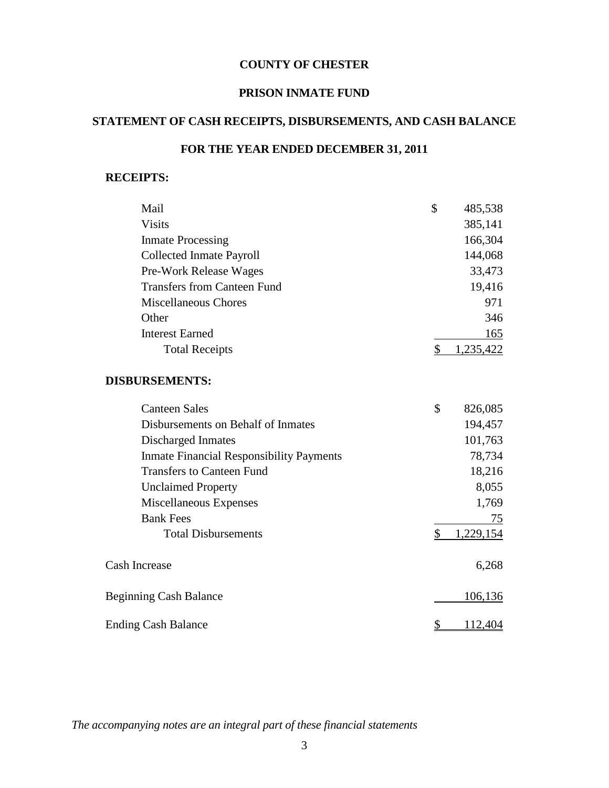#### **PRISON INMATE FUND**

# **STATEMENT OF CASH RECEIPTS, DISBURSEMENTS, AND CASH BALANCE**

# **FOR THE YEAR ENDED DECEMBER 31, 2011**

#### **RECEIPTS:**

| Mail                                            | \$                       | 485,538        |
|-------------------------------------------------|--------------------------|----------------|
| <b>Visits</b>                                   |                          | 385,141        |
| <b>Inmate Processing</b>                        |                          | 166,304        |
| <b>Collected Inmate Payroll</b>                 |                          | 144,068        |
| Pre-Work Release Wages                          |                          | 33,473         |
| <b>Transfers from Canteen Fund</b>              |                          | 19,416         |
| <b>Miscellaneous Chores</b>                     |                          | 971            |
| Other                                           |                          | 346            |
| <b>Interest Earned</b>                          |                          | 165            |
| <b>Total Receipts</b>                           | \$                       | 1,235,422      |
| <b>DISBURSEMENTS:</b>                           |                          |                |
| <b>Canteen Sales</b>                            | \$                       | 826,085        |
| Disbursements on Behalf of Inmates              |                          | 194,457        |
| Discharged Inmates                              |                          | 101,763        |
| <b>Inmate Financial Responsibility Payments</b> |                          | 78,734         |
| <b>Transfers to Canteen Fund</b>                |                          | 18,216         |
| <b>Unclaimed Property</b>                       |                          | 8,055          |
| Miscellaneous Expenses                          |                          | 1,769          |
| <b>Bank Fees</b>                                |                          | 75             |
| <b>Total Disbursements</b>                      | \$                       | 1,229,154      |
| <b>Cash Increase</b>                            |                          | 6,268          |
| <b>Beginning Cash Balance</b>                   |                          | 106,136        |
| <b>Ending Cash Balance</b>                      | $\overline{\mathcal{L}}$ | <u>112,404</u> |

*The accompanying notes are an integral part of these financial statements*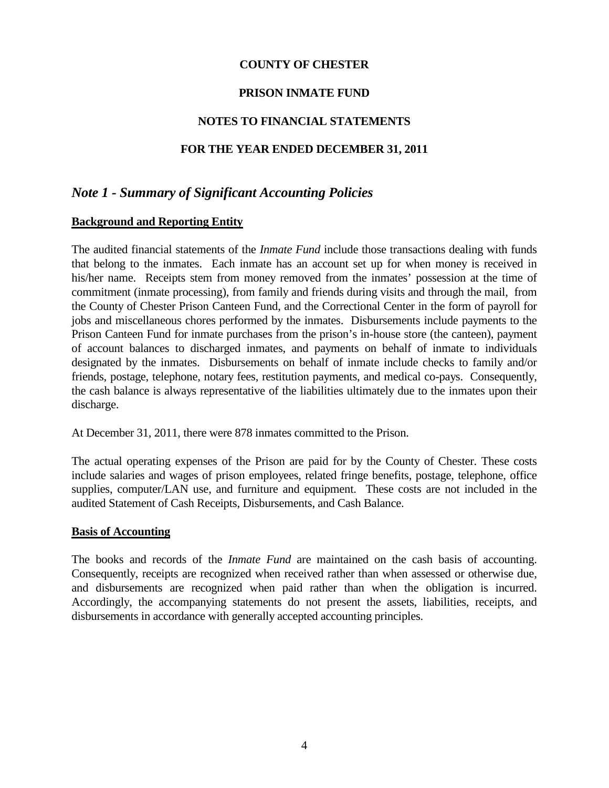#### **PRISON INMATE FUND**

#### **NOTES TO FINANCIAL STATEMENTS**

#### **FOR THE YEAR ENDED DECEMBER 31, 2011**

# *Note 1 - Summary of Significant Accounting Policies*

#### **Background and Reporting Entity**

The audited financial statements of the *Inmate Fund* include those transactions dealing with funds that belong to the inmates. Each inmate has an account set up for when money is received in his/her name. Receipts stem from money removed from the inmates' possession at the time of commitment (inmate processing), from family and friends during visits and through the mail, from the County of Chester Prison Canteen Fund, and the Correctional Center in the form of payroll for jobs and miscellaneous chores performed by the inmates. Disbursements include payments to the Prison Canteen Fund for inmate purchases from the prison's in-house store (the canteen), payment of account balances to discharged inmates, and payments on behalf of inmate to individuals designated by the inmates. Disbursements on behalf of inmate include checks to family and/or friends, postage, telephone, notary fees, restitution payments, and medical co-pays. Consequently, the cash balance is always representative of the liabilities ultimately due to the inmates upon their discharge.

At December 31, 2011, there were 878 inmates committed to the Prison.

The actual operating expenses of the Prison are paid for by the County of Chester. These costs include salaries and wages of prison employees, related fringe benefits, postage, telephone, office supplies, computer/LAN use, and furniture and equipment. These costs are not included in the audited Statement of Cash Receipts, Disbursements, and Cash Balance.

#### **Basis of Accounting**

The books and records of the *Inmate Fund* are maintained on the cash basis of accounting. Consequently, receipts are recognized when received rather than when assessed or otherwise due, and disbursements are recognized when paid rather than when the obligation is incurred. Accordingly, the accompanying statements do not present the assets, liabilities, receipts, and disbursements in accordance with generally accepted accounting principles.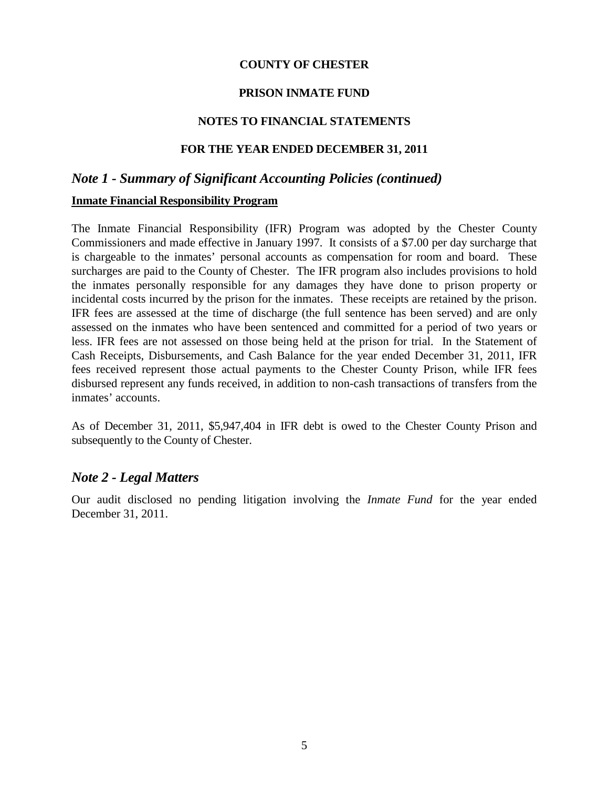#### **PRISON INMATE FUND**

#### **NOTES TO FINANCIAL STATEMENTS**

#### **FOR THE YEAR ENDED DECEMBER 31, 2011**

#### *Note 1 - Summary of Significant Accounting Policies (continued)*

#### **Inmate Financial Responsibility Program**

The Inmate Financial Responsibility (IFR) Program was adopted by the Chester County Commissioners and made effective in January 1997. It consists of a \$7.00 per day surcharge that is chargeable to the inmates' personal accounts as compensation for room and board. These surcharges are paid to the County of Chester. The IFR program also includes provisions to hold the inmates personally responsible for any damages they have done to prison property or incidental costs incurred by the prison for the inmates. These receipts are retained by the prison. IFR fees are assessed at the time of discharge (the full sentence has been served) and are only assessed on the inmates who have been sentenced and committed for a period of two years or less. IFR fees are not assessed on those being held at the prison for trial. In the Statement of Cash Receipts, Disbursements, and Cash Balance for the year ended December 31, 2011, IFR fees received represent those actual payments to the Chester County Prison, while IFR fees disbursed represent any funds received, in addition to non-cash transactions of transfers from the inmates' accounts.

As of December 31, 2011, \$5,947,404 in IFR debt is owed to the Chester County Prison and subsequently to the County of Chester.

#### *Note 2 - Legal Matters*

Our audit disclosed no pending litigation involving the *Inmate Fund* for the year ended December 31, 2011.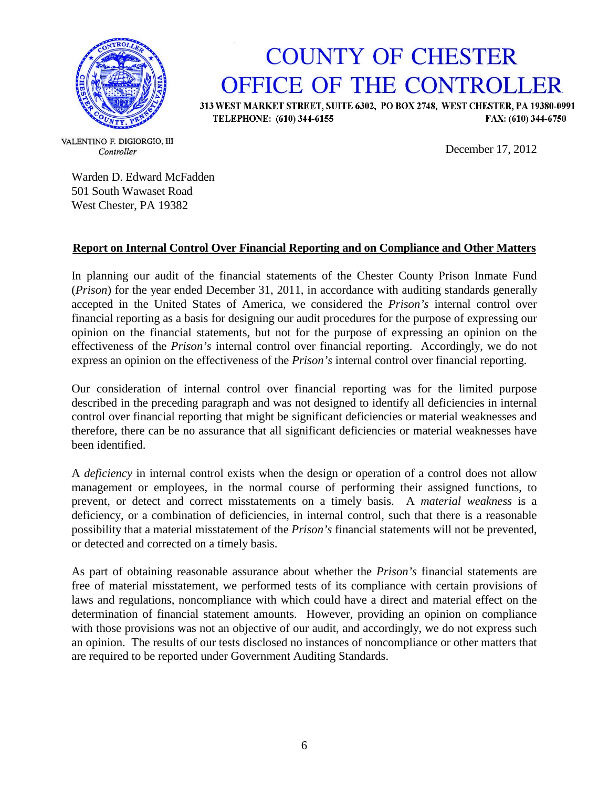

# **COUNTY OF CHESTER** OFFICE OF THE CONTROLLER

313 WEST MARKET STREET, SUITE 6302, PO BOX 2748, WEST CHESTER, PA 19380-0991 TELEPHONE: (610) 344-6155 FAX: (610) 344-6750

December 17, 2012

VALENTINO F. DIGIORGIO, III Controller

Warden D. Edward McFadden 501 South Wawaset Road West Chester, PA 19382

#### **Report on Internal Control Over Financial Reporting and on Compliance and Other Matters**

In planning our audit of the financial statements of the Chester County Prison Inmate Fund (*Prison*) for the year ended December 31, 2011, in accordance with auditing standards generally accepted in the United States of America, we considered the *Prison's* internal control over financial reporting as a basis for designing our audit procedures for the purpose of expressing our opinion on the financial statements, but not for the purpose of expressing an opinion on the effectiveness of the *Prison's* internal control over financial reporting. Accordingly, we do not express an opinion on the effectiveness of the *Prison's* internal control over financial reporting.

Our consideration of internal control over financial reporting was for the limited purpose described in the preceding paragraph and was not designed to identify all deficiencies in internal control over financial reporting that might be significant deficiencies or material weaknesses and therefore, there can be no assurance that all significant deficiencies or material weaknesses have been identified.

A *deficiency* in internal control exists when the design or operation of a control does not allow management or employees, in the normal course of performing their assigned functions, to prevent, or detect and correct misstatements on a timely basis. A *material weakness* is a deficiency, or a combination of deficiencies, in internal control, such that there is a reasonable possibility that a material misstatement of the *Prison's* financial statements will not be prevented, or detected and corrected on a timely basis.

As part of obtaining reasonable assurance about whether the *Prison's* financial statements are free of material misstatement, we performed tests of its compliance with certain provisions of laws and regulations, noncompliance with which could have a direct and material effect on the determination of financial statement amounts. However, providing an opinion on compliance with those provisions was not an objective of our audit, and accordingly, we do not express such an opinion. The results of our tests disclosed no instances of noncompliance or other matters that are required to be reported under Government Auditing Standards.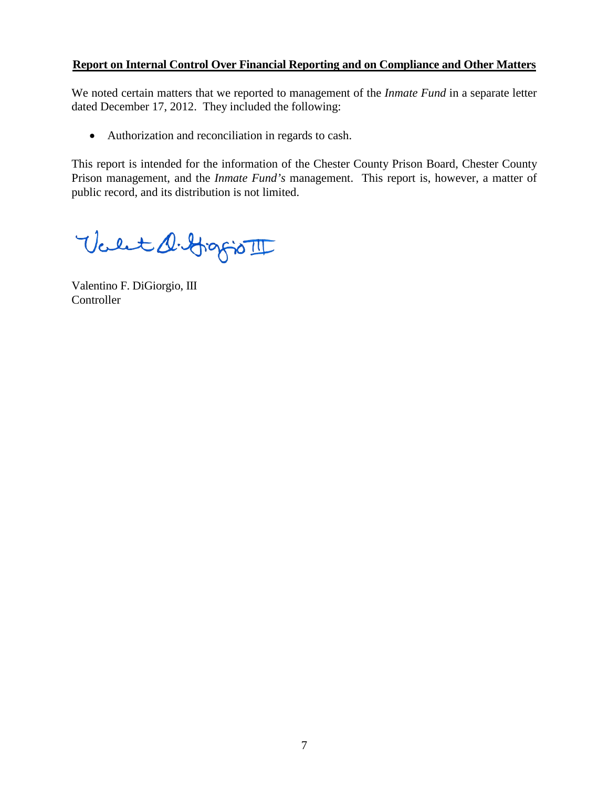#### **Report on Internal Control Over Financial Reporting and on Compliance and Other Matters**

We noted certain matters that we reported to management of the *Inmate Fund* in a separate letter dated December 17, 2012. They included the following:

• Authorization and reconciliation in regards to cash.

This report is intended for the information of the Chester County Prison Board, Chester County Prison management, and the *Inmate Fund's* management. This report is, however, a matter of public record, and its distribution is not limited.

Valet D. Grafio III

Valentino F. DiGiorgio, III Controller